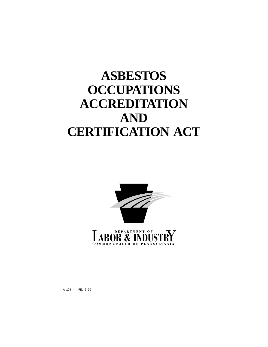# **ASBESTOS OCCUPATIONS ACCREDITATION AND CERTIFICATION ACT**



A-194 REV 6-99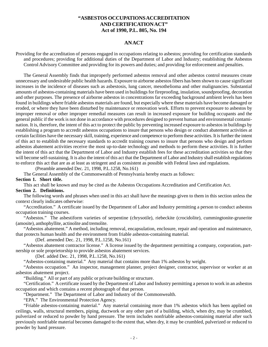# **"ASBESTOS OCCUPATIONS ACCREDITATION AND CERTIFICATION ACT" Act of 1990, P.L. 805, No. 194**

## **AN ACT**

Providing for the accreditation of persons engaged in occupations relating to asbestos; providing for certification standards and procedures; providing for additional duties of the Department of Labor and Industry; establishing the Asbestos Control Advisory Committee and providing for its powers and duties; and providing for enforcement and penalties.

The General Assembly finds that improperly performed asbestos removal and other asbestos control measures create unnecessary and undesirable public health hazards. Exposure to airborne asbestos fibers has been shown to cause significant increases in the incidence of diseases such as asbestosis, lung cancer, mesothelioma and other malignancies. Substantial amounts of asbestos-containing materials have been used in buildings for fireproofing, insulation, soundproofing, decoration and other purposes. The presence of airborne asbestos in concentrations far exceeding background ambient levels has been found in buildings where friable asbestos materials are found, but especially where these materials have become damaged or eroded, or where they have been disturbed by maintenance or renovation work. Efforts to prevent exposure to asbestos by improper removal or other improper remedial measures can result in increased exposure for building occupants and the general public if the work is not done in accordance with procedures designed to prevent human and environmental contamination. It is, therefore, the intent of this act to protect the public by preventing increased exposure to asbestos in buildings by establishing a program to accredit asbestos occupations to insure that persons who design or conduct abatement activities at certain facilities have the necessary skill, training, experience and competence to perform these activities. It is further the intent of this act to establish the necessary standards to accredit training courses to insure that persons who design and perform asbestos abatement activities receive the most up-to-date technology and methods to perform these activities. It is further the intent of this act that the Department of Labor and Industry establish fees for these accreditation activities so that they will become self-sustaining. It is also the intent of this act that the Department of Labor and Industry shall establish regulations to enforce this act that are as at least as stringent and as consistent as possible with Federal laws and regulations.

(Preamble amended Dec. 21, 1998, P.L.1258, No.161)

The General Assembly of the Commonwealth of Pennsylvania hereby enacts as follows:

#### **Section 1. Short title.**

This act shall be known and may be cited as the Asbestos Occupations Accreditation and Certification Act.

# **Section 2. Definitions.**

The following words and phrases when used in this act shall have the meanings given to them in this section unless the context clearly indicates otherwise:

"Accreditation." A certificate issued by the Department of Labor and Industry permitting a person to conduct asbestos occupation training courses.

"Asbestos." The asbestiform varieties of serpentine (chrysotile), riebeckite (crocidolite), cummingtonite-grunerite (amosite), anthophyllite, actinolite and tremolite.

"Asbestos abatement." A method, including removal, encapsulation, enclosure, repair and operation and maintenance, that protects human health and the environment from friable asbestos-containing material.

(Def. amended Dec. 21, 1998, P.L.1258, No.161)

"Asbestos abatement contractor license." A license issued by the department permitting a company, corporation, partnership or sole proprietorship to provide asbestos abatement services.

(Def. added Dec. 21, 1998, P.L.1258, No.161)

"Asbestos-containing material." Any material that contains more than 1% asbestos by weight.

"Asbestos occupation." An inspector, management planner, project designer, contractor, supervisor or worker at an asbestos abatement project.

"Building." All or part of any public or private building or structure.

"Certification." A certificate issued by the Department of Labor and Industry permitting a person to work in an asbestos occupation and which contains a recent photograph of that person.

"Department." The Department of Labor and Industry of the Commonwealth.

"EPA." The Environmental Protection Agency.

"Friable asbestos-containing material." Any material containing more than 1% asbestos which has been applied on ceilings, walls, structural members, piping, ductwork or any other part of a building, which, when dry, may be crumbled, pulverized or reduced to powder by hand pressure. The term includes nonfriable asbestos-containing material after such previously nonfriable material becomes damaged to the extent that, when dry, it may be crumbled, pulverized or reduced to powder by hand pressure.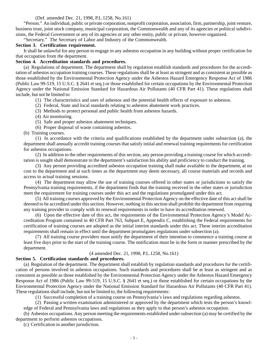#### (Def. amended Dec. 21, 1998, P.L.1258, No.161)

"Person." An individual, public or private corporation, nonprofit corporation, association, firm, partnership, joint venture, business trust, joint stock company, municipal corporation, the Commonwealth and any of its agencies or political subdivisions, the Federal Government or any of its agencies or any other entity, public or private, however organized.

"Secretary." The Secretary of Labor and Industry of the Commonwealth.

#### **Section 3. Certification requirement.**

It shall be unlawful for any person to engage in any asbestos occupation in any building without proper certification for that occupation from the department.

#### **Section 4. Accreditation standards and procedures.**

(a) Regulations of department. The department shall by regulation establish standards and procedures for the accreditation of asbestos occupation training courses. These regulations shall be at least as stringent and as consistent as possible as those established by the Environmental Protection Agency under the Asbestos Hazard Emergency Response Act of 1986 (Public Law 99-519, 15 U.S.C. § 2641 et seq.) or those established for certain occupations by the Environmental Protection Agency under the National Emission Standard for Hazardous Air Pollutants (40 CFR Part 41). These regulations shall include, but not be limited to:

- (1) The characteristics and uses of asbestos and the potential health effects of exposure to asbestos.
- (2) Federal, State and local standards relating to asbestos abatement work practices.
- (3) Methods to protect personal and public health from asbestos hazards.
- (4) Air monitoring.
- (5) Safe and proper asbestos abatement techniques.
- (6) Proper disposal of waste containing asbestos.

(b) Training courses.

(1) In accordance with the criteria and qualifications established by the department under subsection (a), the department shall annually accredit training courses that satisfy initial and renewal training requirements for certification for asbestos occupations.

(2) In addition to the other requirements of this section, any person providing a training course for which accreditation is sought shall demonstrate to the department's satisfaction his ability and proficiency to conduct the training.

(3) Any person providing accredited asbestos occupation training shall make available to the department, at no cost to the department and at such times as the department may deem necessary, all course materials and records and access to actual training sessions.

(4) The department may allow the use of training courses offered in other states or jurisdictions to satisfy the Pennsylvania training requirements, if the department finds that the training received in the other states or jurisdiction meet the requirement for training courses under this act and the regulations promulgated under this act.

(5) All training courses approved by the Environmental Protection Agency on the effective date of this act shall be deemed to be accredited under this section. However, nothing in this section shall prohibit the department from requiring any training provider to comply with its renewal requirements in order to have its accreditation renewed.

(6) Upon the effective date of this act, the requirements of the Environmental Protection Agency's Model Accreditation Program contained in 40 CFR Part 763, Subpart E, Appendix C, establishing the Federal requirements for certification of training courses are adopted as the initial interim standards under this act. These interim accreditation requirements shall remain in effect until the department promulgates regulations under subsection (a).

(7) All training course providers must notify the department of their intention to commence a training course at least five days prior to the start of the training course. The notification must be in the form or manner prescribed by the department.

## (4 amended Dec. 21, 1998, P.L.1258, No.161)

### **Section 5. Certification standards and procedures.**

(a) Regulation of the department. The department shall establish by regulation standards and procedures for the certification of persons involved in asbestos occupations. Such standards and procedures shall be at least as stringent and as consistent as possible as those established by the Environmental Protection Agency under the Asbestos Hazard Emergency Response Act of 1986 (Public Law 99-519, 15 U.S.C. § 2641 et seq.) or those established for certain occupations by the Environmental Protection Agency under the National Emission Standard for Hazardous Air Pollutants (40 CFR Part 41). These regulations shall include, but not be limited to, the following requirements:

(1) Successful completion of a training course on Pennsylvania's laws and regulations regarding asbestos.

(2) Passing a written examination administered or approved by the department which tests the person's knowledge of Federal and Pennsylvania laws and regulations as they apply to that person's asbestos occupation.

(b) Asbestos occupations. Any person meeting the requirements established under subsection (a) may be certified by the department to perform asbestos occupations.

(c) Certification in another jurisdiction.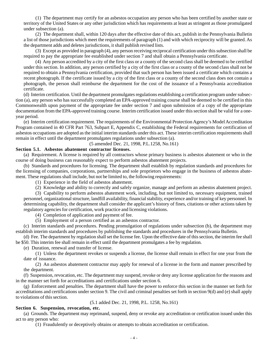(1) The department may certify for an asbestos occupation any person who has been certified by another state or territory of the United States or any other jurisdiction which has requirements at least as stringent as those promulgated under subsection (a).

(2) The department shall, within 120 days after the effective date of this act, publish in the Pennsylvania Bulletin a list of those jurisdictions which meet the requirements of paragraph (1) and with which reciprocity will be granted. As the department adds and deletes jurisdictions, it shall publish revised lists.

(3) Except as provided in paragraph (4), any person receiving reciprocal certification under this subsection shall be required to pay the appropriate fee established under section 7 and shall obtain a Pennsylvania certificate.

(4) Any person accredited by a city of the first class or a county of the second class shall be deemed to be certified under this section. In addition, any person certified by a city of the first class or a county of the second class shall not be required to obtain a Pennsylvania certification, provided that such person has been issued a certificate which contains a recent photograph. If the certificate issued by a city of the first class or a county of the second class does not contain a photograph, the person shall reimburse the department for the cost of the issuance of a Pennsylvania accreditation certificate.

(d) Interim certification. Until the department promulgates regulations establishing a certification program under subsection (a), any person who has successfully completed an EPA-approved training course shall be deemed to be certified in this Commonwealth upon payment of the appropriate fee under section 7 and upon submission of a copy of the appropriate documentation from the EPA-approved training course. Interim certification issued under this section shall be valid for a oneyear period.

(e) Interim certification requirement. The requirements of the Environmental Protection Agency's Model Accreditation Program contained in 40 CFR Part 763, Subpart E, Appendix C, establishing the Federal requirements for certification of asbestos occupations are adopted as the initial interim standards under this act. These interim certification requirements shall remain in effect until the department promulgates regulations under subsection (a).

(5 amended Dec. 21, 1998, P.L.1258, No.161)

## **Section 5.1. Asbestos abatement contractor licenses.**

(a) Requirement. A license is required by all contractors whose primary business is asbestos abatement or who in the course of doing business can reasonably expect to perform asbestos abatement projects.

(b) Standards and procedures for licensing. The department shall establish by regulation standards and procedures for the licensing of companies, corporations, partnerships and sole proprietors who engage in the business of asbestos abatement. These regulations shall include, but not be limited to, the following requirements:

(1) Experience in the field of asbestos abatement.

(2) Knowledge and ability to correctly and safely organize, manage and perform an asbestos abatement project.

(3) Capability to perform asbestos abatement work, including, but not limited to, necessary equipment, trained personnel, organizational structure, landfill availability, financial stability, experience and/or training of key personnel. In determining capability, the department shall consider the applicant's history of fines, citations or other actions taken by regulatory agencies for certification, work practice and licensing violations.

(4) Completion of application and payment of fee.

(5) Employment of a person certified as an asbestos contractor.

(c) Interim standards and procedures. Pending promulgation of regulations under subsection (b), the department may establish interim standards and procedures by publishing the standards and procedures in the Pennsylvania Bulletin.

(d) Fee. The department by regulation shall set the license fee. Upon the effective date of this section, the interim fee shall be \$50. This interim fee shall remain in effect until the department promulgates a fee by regulation.

(e) Duration, renewal and transfer of license.

(1) Unless the department revokes or suspends a license, the license shall remain in effect for one year from the date of issuance.

(2) An asbestos abatement contractor may apply for renewal of a license in the form and manner prescribed by the department.

(f) Suspension, revocation, etc. The department may suspend, revoke or deny any license application for the reasons and in the manner set forth for accreditations and certifications under section 6.

(g) Enforcement and penalties. The department shall have the power to enforce this section in the manner set forth for accreditations and certifications under section 9. The civil and criminal penalties set forth in section 9(d) and (e) shall apply to violations of this section.

(5.1 added Dec. 21, 1998, P.L. 1258, No.161)

### **Section 6. Suspension, revocation, etc.**

(a) Grounds. The department may reprimand, suspend, deny or revoke any accreditation or certification issued under this act to any person who:

(1) Fraudulently or deceptively obtains or attempts to obtain accreditation or certification.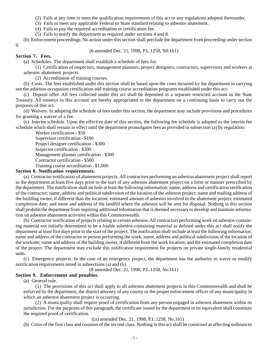(2) Fails at any time to meet the qualification requirements of this act or any regulations adopted thereunder.

(3) Fails to meet any applicable Federal or State standard relating to asbestos abatement.

(4) Fails to pay the required accreditation or certification fee.

(5) Fails to notify the department as required under sections 4 and 8.

(b) Enforcement proceedings. No action under this section shall preclude the department from proceeding under section 9.

(6 amended Dec. 21, 1998, P.L.1258, N0.161)

#### **Section 7. Fees.**

(a) Schedules. The department shall establish a schedule of fees for:

(1) Certification of inspectors, management planners, project designers, contractors, supervisors and workers at asbestos abatement projects.

(2) Accreditation of training courses.

(b) Costs. The fees established under this section shall be based upon the costs incurred by the department in carrying out the asbestos occupation certification and training course accreditation programs established under this act.

(c) Deposit offer. All fees collected under this act shall be deposited in a separate restricted account in the State Treasury. All moneys in this account are hereby appropriated to the department on a continuing basis to carry out the purposes of this act.

(d) Waivers. In adopting the schedule of fees under this section, the department may include provisions and procedures for granting a waiver of a fee.

(e) Interim schedule. Upon the effective date of this section, the following fee schedule is adopted as the interim fee schedule which shall remain in effect until the department promulgates fees as provided in subsection (a) by regulation:

Worker certification - \$50 Supervisor certification - \$100 Project designer certification - \$300 Inspector certification - \$300 Management planner certification - \$300 Contractor certification - \$500 Training course accreditation - \$1,000

#### **Section 8. Notification requirements.**

(a) Contractor notification of abatement projects. All contractors performing an asbestos abatement project shall report to the department at least five days prior to the start of any asbestos abatement project on a form or manner prescribed by the department. The notification shall include at least the following information: name, address and certification verification of the contractor; name, address and political subdivision of the location of the asbestos project; name and mailing address of the building owner, if different than the location; estimated amount of asbestos involved in the abatement project; estimated completion date; and name and address of the landfill where the asbestos will be sent for disposal. Nothing in this section shall prohibit the department from requiring additional information that is deemed necessary to develop and maintain information on asbestos abatement activities within this Commonwealth.

(b) Contractor notification of projects relating to certain asbestos. All contractors performing work on asbestos-containing material not initially determined to be a friable asbestos-containing material as defined under this act shall notify the department at least five days prior to the start of the project. The notification shall include at least the following information: name and address of the contractor or person performing the work; name, address and political subdivision of the location of the worksite; name and address of the building owner, if different from the work location; and the estimated completion date of the project. The department may exclude this notification requirement for projects on private single-family residential units.

(c) Emergency projects. In the case of an emergency project, the department has the authority to waive or modify notification requirements noted in subsections (a) and (b).

(8 amended Dec. 21, 1998, P.L.1258, No.161)

### **Section 9. Enforcement and penalties.**

(a) General rule.

(1) The provisions of this act shall apply to all asbestos abatement projects in this Commonwealth and shall be enforced by the department, the district attorney of any county or the proper enforcement officer of any municipality in which an asbestos abatement project is occurring.

(2) A municipality shall require proof of certification from any person engaged in asbestos abatement within its jurisdiction. For the purposes of this paragraph, the certificate issued by the department or its equivalent shall constitute the required proof of certification.

((a) amended Dec. 21, 1998, P.L.1258, No.161)

(b) Cities of the first class and counties of the second class. Nothing in this act shall be construed as affecting ordinances